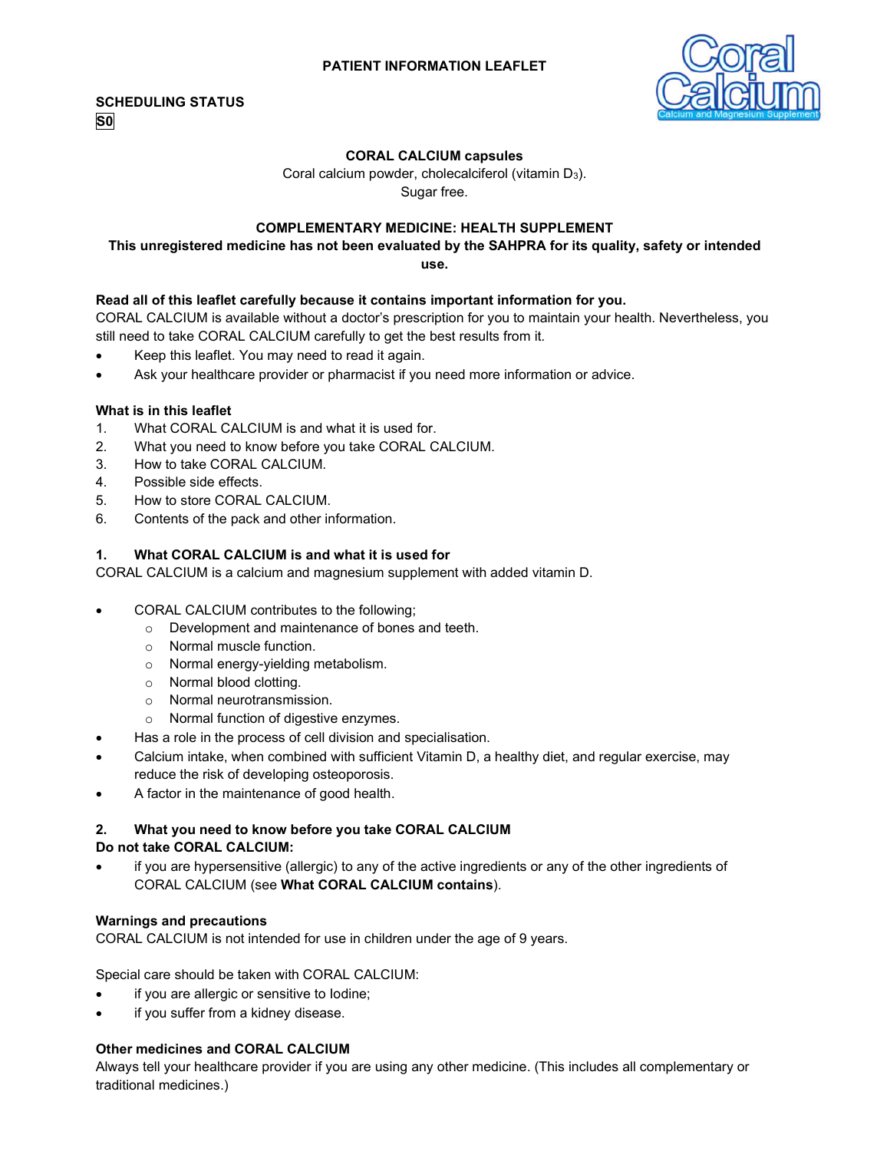

## **CORAL CALCIUM capsules**

Coral calcium powder, cholecalciferol (vitamin D<sub>3</sub>). Sugar free.

## **COMPLEMENTARY MEDICINE: HEALTH SUPPLEMENT**

# **This unregistered medicine has not been evaluated by the SAHPRA for its quality, safety or intended**

**use.**

## **Read all of this leaflet carefully because it contains important information for you.**

CORAL CALCIUM is available without a doctor's prescription for you to maintain your health. Nevertheless, you still need to take CORAL CALCIUM carefully to get the best results from it.

- Keep this leaflet. You may need to read it again.
- Ask your healthcare provider or pharmacist if you need more information or advice.

## **What is in this leaflet**

- 1. What CORAL CALCIUM is and what it is used for.
- 2. What you need to know before you take CORAL CALCIUM.
- 3. How to take CORAL CALCIUM.
- 4. Possible side effects.
- 5. How to store CORAL CALCIUM.
- 6. Contents of the pack and other information.

## **1. What CORAL CALCIUM is and what it is used for**

CORAL CALCIUM is a calcium and magnesium supplement with added vitamin D.

- CORAL CALCIUM contributes to the following;
	- o Development and maintenance of bones and teeth.
	- o Normal muscle function.
	- o Normal energy-yielding metabolism.
	- o Normal blood clotting.
	- o Normal neurotransmission.
	- o Normal function of digestive enzymes.
	- Has a role in the process of cell division and specialisation.
- Calcium intake, when combined with sufficient Vitamin D, a healthy diet, and regular exercise, may reduce the risk of developing osteoporosis.
- A factor in the maintenance of good health.

## **2. What you need to know before you take CORAL CALCIUM**

## **Do not take CORAL CALCIUM:**

 if you are hypersensitive (allergic) to any of the active ingredients or any of the other ingredients of CORAL CALCIUM (see **What CORAL CALCIUM contains**).

## **Warnings and precautions**

CORAL CALCIUM is not intended for use in children under the age of 9 years.

Special care should be taken with CORAL CALCIUM:

- if you are allergic or sensitive to lodine;
- if you suffer from a kidney disease.

## **Other medicines and CORAL CALCIUM**

Always tell your healthcare provider if you are using any other medicine. (This includes all complementary or traditional medicines.)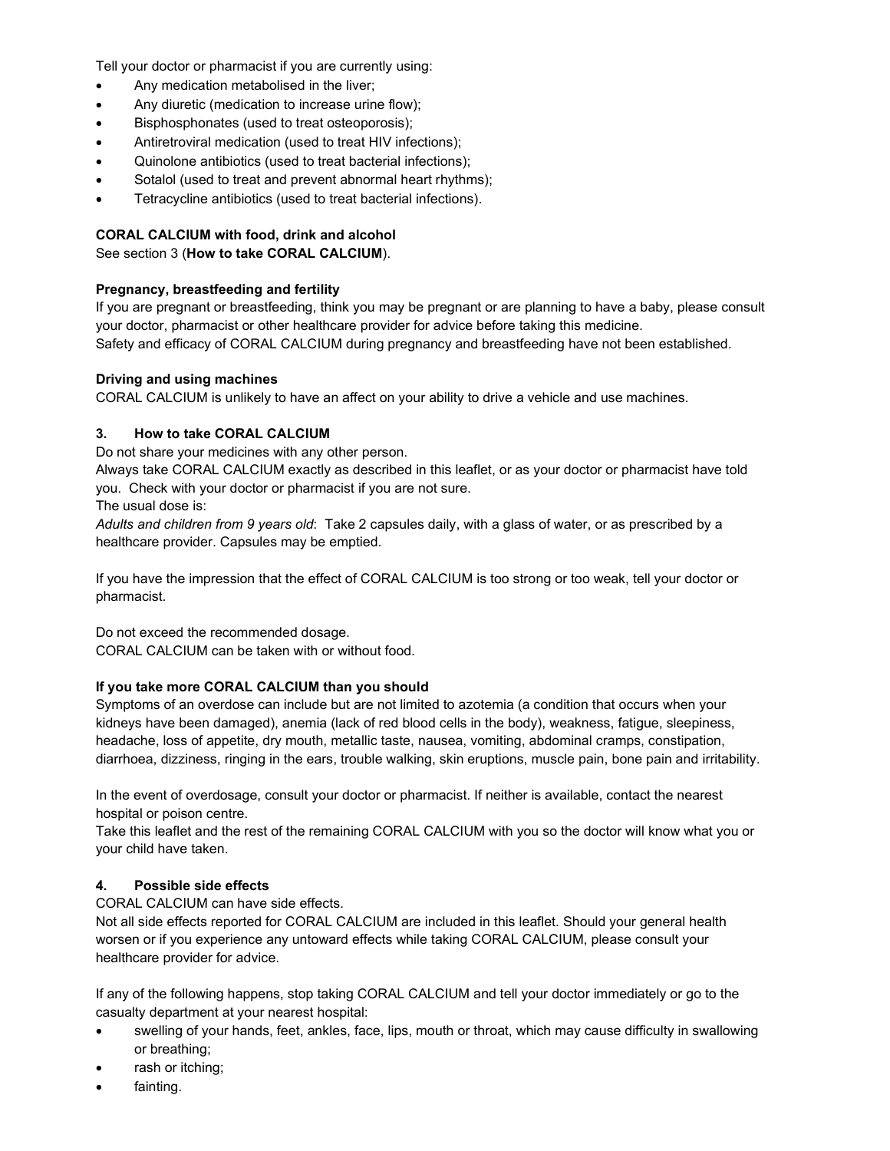Tell your doctor or pharmacist if you are currently using:

- Any medication metabolised in the liver;
- Any diuretic (medication to increase urine flow);
- Bisphosphonates (used to treat osteoporosis);
- Antiretroviral medication (used to treat HIV infections);
- Quinolone antibiotics (used to treat bacterial infections);
- Sotalol (used to treat and prevent abnormal heart rhythms);
- Tetracycline antibiotics (used to treat bacterial infections).

## **CORAL CALCIUM with food, drink and alcohol**

See section 3 (**How to take CORAL CALCIUM**).

## **Pregnancy, breastfeeding and fertility**

If you are pregnant or breastfeeding, think you may be pregnant or are planning to have a baby, please consult your doctor, pharmacist or other healthcare provider for advice before taking this medicine. Safety and efficacy of CORAL CALCIUM during pregnancy and breastfeeding have not been established.

## **Driving and using machines**

CORAL CALCIUM is unlikely to have an affect on your ability to drive a vehicle and use machines.

## **3. How to take CORAL CALCIUM**

Do not share your medicines with any other person.

Always take CORAL CALCIUM exactly as described in this leaflet, or as your doctor or pharmacist have told you. Check with your doctor or pharmacist if you are not sure.

The usual dose is:

*Adults and children from 9 years old*: Take 2 capsules daily, with a glass of water, or as prescribed by a healthcare provider. Capsules may be emptied.

If you have the impression that the effect of CORAL CALCIUM is too strong or too weak, tell your doctor or pharmacist.

Do not exceed the recommended dosage.

CORAL CALCIUM can be taken with or without food.

# **If you take more CORAL CALCIUM than you should**

Symptoms of an overdose can include but are not limited to azotemia (a condition that occurs when your kidneys have been damaged), anemia (lack of red blood cells in the body), weakness, fatigue, sleepiness, headache, loss of appetite, dry mouth, metallic taste, nausea, vomiting, abdominal cramps, constipation, diarrhoea, dizziness, ringing in the ears, trouble walking, skin eruptions, muscle pain, bone pain and irritability.

In the event of overdosage, consult your doctor or pharmacist. If neither is available, contact the nearest hospital or poison centre.

Take this leaflet and the rest of the remaining CORAL CALCIUM with you so the doctor will know what you or your child have taken.

# **4. Possible side effects**

CORAL CALCIUM can have side effects.

Not all side effects reported for CORAL CALCIUM are included in this leaflet. Should your general health worsen or if you experience any untoward effects while taking CORAL CALCIUM, please consult your healthcare provider for advice.

If any of the following happens, stop taking CORAL CALCIUM and tell your doctor immediately or go to the casualty department at your nearest hospital:

- swelling of your hands, feet, ankles, face, lips, mouth or throat, which may cause difficulty in swallowing or breathing;
- rash or itching;
- fainting.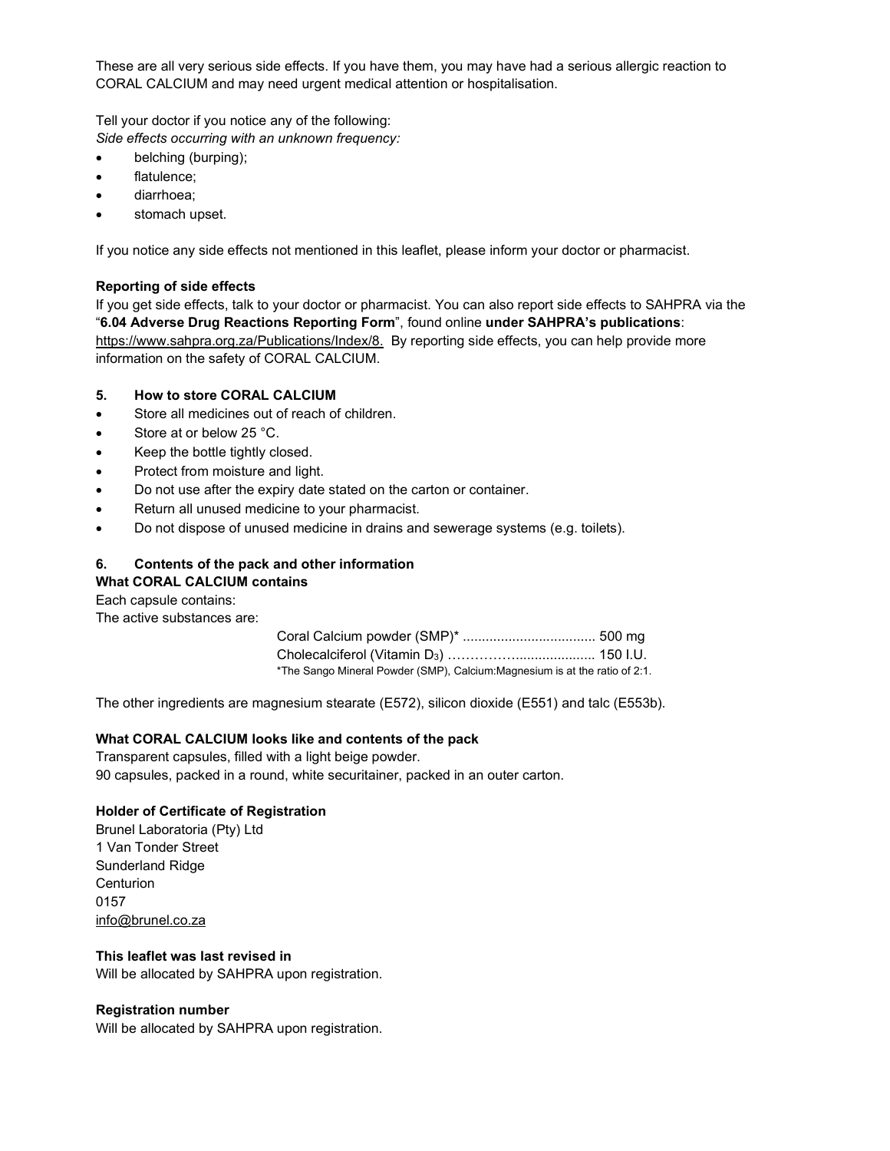These are all very serious side effects. If you have them, you may have had a serious allergic reaction to CORAL CALCIUM and may need urgent medical attention or hospitalisation.

Tell your doctor if you notice any of the following: *Side effects occurring with an unknown frequency:*

- belching (burping);
- flatulence;
- diarrhoea;
- stomach upset.

If you notice any side effects not mentioned in this leaflet, please inform your doctor or pharmacist.

## **Reporting of side effects**

If you get side effects, talk to your doctor or pharmacist. You can also report side effects to SAHPRA via the "**6.04 Adverse Drug Reactions Reporting Form**", found online **under SAHPRA's publications**: https://www.sahpra.org.za/Publications/Index/8. By reporting side effects, you can help provide more information on the safety of CORAL CALCIUM.

## **5. How to store CORAL CALCIUM**

- Store all medicines out of reach of children.
- Store at or below 25 °C.
- Keep the bottle tightly closed.
- Protect from moisture and light.
- Do not use after the expiry date stated on the carton or container.
- Return all unused medicine to your pharmacist.
- Do not dispose of unused medicine in drains and sewerage systems (e.g. toilets).

# **6. Contents of the pack and other information What CORAL CALCIUM contains**

Each capsule contains:

The active substances are:

| *The Sango Mineral Powder (SMP), Calcium:Magnesium is at the ratio of 2:1. |  |
|----------------------------------------------------------------------------|--|

The other ingredients are magnesium stearate (E572), silicon dioxide (E551) and talc (E553b).

## **What CORAL CALCIUM looks like and contents of the pack**

Transparent capsules, filled with a light beige powder. 90 capsules, packed in a round, white securitainer, packed in an outer carton.

# **Holder of Certificate of Registration**

Brunel Laboratoria (Pty) Ltd 1 Van Tonder Street Sunderland Ridge **Centurion** 0157 info@brunel.co.za

## **This leaflet was last revised in**

Will be allocated by SAHPRA upon registration.

## **Registration number**

Will be allocated by SAHPRA upon registration.